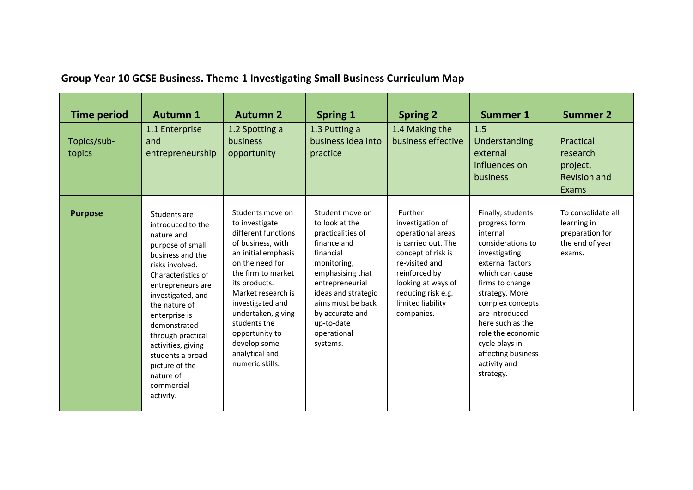| <b>Time period</b>    | <b>Autumn 1</b>                                                                                                                                                                                                                                                                                                                                       | <b>Autumn 2</b>                                                                                                                                                                                                                                                                                                        | <b>Spring 1</b>                                                                                                                                                                                                                                  | <b>Spring 2</b>                                                                                                                                                                                                 | <b>Summer 1</b>                                                                                                                                                                                                                                                                                                      | <b>Summer 2</b>                                                                   |
|-----------------------|-------------------------------------------------------------------------------------------------------------------------------------------------------------------------------------------------------------------------------------------------------------------------------------------------------------------------------------------------------|------------------------------------------------------------------------------------------------------------------------------------------------------------------------------------------------------------------------------------------------------------------------------------------------------------------------|--------------------------------------------------------------------------------------------------------------------------------------------------------------------------------------------------------------------------------------------------|-----------------------------------------------------------------------------------------------------------------------------------------------------------------------------------------------------------------|----------------------------------------------------------------------------------------------------------------------------------------------------------------------------------------------------------------------------------------------------------------------------------------------------------------------|-----------------------------------------------------------------------------------|
| Topics/sub-<br>topics | 1.1 Enterprise<br>and<br>entrepreneurship                                                                                                                                                                                                                                                                                                             | 1.2 Spotting a<br>business<br>opportunity                                                                                                                                                                                                                                                                              | 1.3 Putting a<br>business idea into<br>practice                                                                                                                                                                                                  | 1.4 Making the<br>business effective                                                                                                                                                                            | 1.5<br>Understanding<br>external<br>influences on<br>business                                                                                                                                                                                                                                                        | Practical<br>research<br>project,<br><b>Revision and</b><br>Exams                 |
| <b>Purpose</b>        | Students are<br>introduced to the<br>nature and<br>purpose of small<br>business and the<br>risks involved.<br>Characteristics of<br>entrepreneurs are<br>investigated, and<br>the nature of<br>enterprise is<br>demonstrated<br>through practical<br>activities, giving<br>students a broad<br>picture of the<br>nature of<br>commercial<br>activity. | Students move on<br>to investigate<br>different functions<br>of business, with<br>an initial emphasis<br>on the need for<br>the firm to market<br>its products.<br>Market research is<br>investigated and<br>undertaken, giving<br>students the<br>opportunity to<br>develop some<br>analytical and<br>numeric skills. | Student move on<br>to look at the<br>practicalities of<br>finance and<br>financial<br>monitoring,<br>emphasising that<br>entrepreneurial<br>ideas and strategic<br>aims must be back<br>by accurate and<br>up-to-date<br>operational<br>systems. | Further<br>investigation of<br>operational areas<br>is carried out. The<br>concept of risk is<br>re-visited and<br>reinforced by<br>looking at ways of<br>reducing risk e.g.<br>limited liability<br>companies. | Finally, students<br>progress form<br>internal<br>considerations to<br>investigating<br>external factors<br>which can cause<br>firms to change<br>strategy. More<br>complex concepts<br>are introduced<br>here such as the<br>role the economic<br>cycle plays in<br>affecting business<br>activity and<br>strategy. | To consolidate all<br>learning in<br>preparation for<br>the end of year<br>exams. |

## **Group Year 10 GCSE Business. Theme 1 Investigating Small Business Curriculum Map**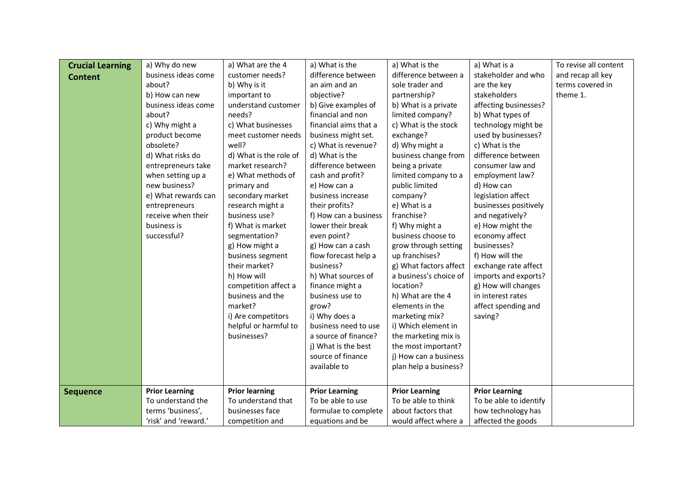| <b>Crucial Learning</b> | a) Why do new         | a) What are the 4      | a) What is the        | a) What is the         | a) What is a           | To revise all content |
|-------------------------|-----------------------|------------------------|-----------------------|------------------------|------------------------|-----------------------|
| <b>Content</b>          | business ideas come   | customer needs?        | difference between    | difference between a   | stakeholder and who    | and recap all key     |
|                         | about?                | b) Why is it           | an aim and an         | sole trader and        | are the key            | terms covered in      |
|                         | b) How can new        | important to           | objective?            | partnership?           | stakeholders           | theme 1.              |
|                         | business ideas come   | understand customer    | b) Give examples of   | b) What is a private   | affecting businesses?  |                       |
|                         | about?                | needs?                 | financial and non     | limited company?       | b) What types of       |                       |
|                         | c) Why might a        | c) What businesses     | financial aims that a | c) What is the stock   | technology might be    |                       |
|                         | product become        | meet customer needs    | business might set.   | exchange?              | used by businesses?    |                       |
|                         | obsolete?             | well?                  | c) What is revenue?   | d) Why might a         | c) What is the         |                       |
|                         | d) What risks do      | d) What is the role of | d) What is the        | business change from   | difference between     |                       |
|                         | entrepreneurs take    | market research?       | difference between    | being a private        | consumer law and       |                       |
|                         | when setting up a     | e) What methods of     | cash and profit?      | limited company to a   | employment law?        |                       |
|                         | new business?         | primary and            | e) How can a          | public limited         | d) How can             |                       |
|                         | e) What rewards can   | secondary market       | business increase     | company?               | legislation affect     |                       |
|                         | entrepreneurs         | research might a       | their profits?        | e) What is a           | businesses positively  |                       |
|                         | receive when their    | business use?          | f) How can a business | franchise?             | and negatively?        |                       |
|                         | business is           | f) What is market      | lower their break     | f) Why might a         | e) How might the       |                       |
|                         | successful?           | segmentation?          | even point?           | business choose to     | economy affect         |                       |
|                         |                       | g) How might a         | g) How can a cash     | grow through setting   | businesses?            |                       |
|                         |                       | business segment       | flow forecast help a  | up franchises?         | f) How will the        |                       |
|                         |                       | their market?          | business?             | g) What factors affect | exchange rate affect   |                       |
|                         |                       | h) How will            | h) What sources of    | a business's choice of | imports and exports?   |                       |
|                         |                       | competition affect a   | finance might a       | location?              | g) How will changes    |                       |
|                         |                       | business and the       | business use to       | h) What are the 4      | in interest rates      |                       |
|                         |                       | market?                | grow?                 | elements in the        | affect spending and    |                       |
|                         |                       | i) Are competitors     | i) Why does a         | marketing mix?         | saving?                |                       |
|                         |                       | helpful or harmful to  | business need to use  | i) Which element in    |                        |                       |
|                         |                       | businesses?            | a source of finance?  | the marketing mix is   |                        |                       |
|                         |                       |                        | j) What is the best   | the most important?    |                        |                       |
|                         |                       |                        | source of finance     | j) How can a business  |                        |                       |
|                         |                       |                        | available to          | plan help a business?  |                        |                       |
|                         |                       |                        |                       |                        |                        |                       |
| <b>Sequence</b>         | <b>Prior Learning</b> | <b>Prior learning</b>  | <b>Prior Learning</b> | <b>Prior Learning</b>  | <b>Prior Learning</b>  |                       |
|                         | To understand the     | To understand that     | To be able to use     | To be able to think    | To be able to identify |                       |
|                         | terms 'business',     | businesses face        | formulae to complete  | about factors that     | how technology has     |                       |
|                         | 'risk' and 'reward.'  | competition and        | equations and be      | would affect where a   | affected the goods     |                       |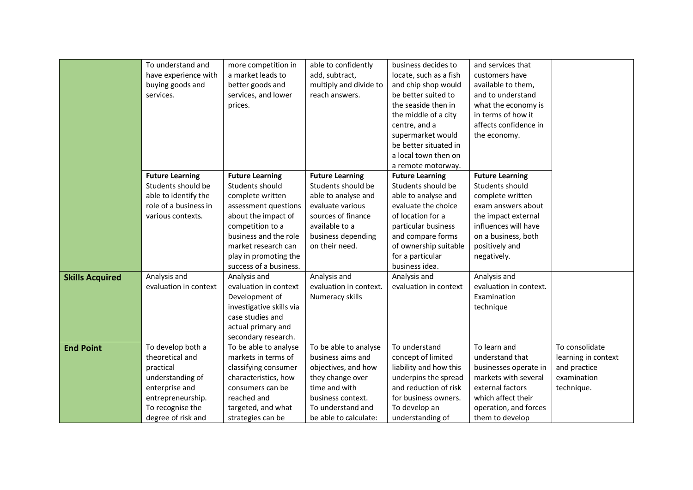|                        | To understand and<br>have experience with<br>buying goods and<br>services.                                                                             | more competition in<br>a market leads to<br>better goods and<br>services, and lower<br>prices.                                                                                                                                      | able to confidently<br>add, subtract,<br>multiply and divide to<br>reach answers.                                                                                         | business decides to<br>locate, such as a fish<br>and chip shop would<br>be better suited to<br>the seaside then in<br>the middle of a city<br>centre, and a<br>supermarket would<br>be better situated in<br>a local town then on                | and services that<br>customers have<br>available to them,<br>and to understand<br>what the economy is<br>in terms of how it<br>affects confidence in<br>the economy.                       |                                                                                    |
|------------------------|--------------------------------------------------------------------------------------------------------------------------------------------------------|-------------------------------------------------------------------------------------------------------------------------------------------------------------------------------------------------------------------------------------|---------------------------------------------------------------------------------------------------------------------------------------------------------------------------|--------------------------------------------------------------------------------------------------------------------------------------------------------------------------------------------------------------------------------------------------|--------------------------------------------------------------------------------------------------------------------------------------------------------------------------------------------|------------------------------------------------------------------------------------|
|                        | <b>Future Learning</b><br>Students should be<br>able to identify the<br>role of a business in<br>various contexts.                                     | <b>Future Learning</b><br>Students should<br>complete written<br>assessment questions<br>about the impact of<br>competition to a<br>business and the role<br>market research can<br>play in promoting the<br>success of a business. | <b>Future Learning</b><br>Students should be<br>able to analyse and<br>evaluate various<br>sources of finance<br>available to a<br>business depending<br>on their need.   | a remote motorway.<br><b>Future Learning</b><br>Students should be<br>able to analyse and<br>evaluate the choice<br>of location for a<br>particular business<br>and compare forms<br>of ownership suitable<br>for a particular<br>business idea. | <b>Future Learning</b><br>Students should<br>complete written<br>exam answers about<br>the impact external<br>influences will have<br>on a business, both<br>positively and<br>negatively. |                                                                                    |
| <b>Skills Acquired</b> | Analysis and<br>evaluation in context                                                                                                                  | Analysis and<br>evaluation in context<br>Development of<br>investigative skills via<br>case studies and<br>actual primary and<br>secondary research.                                                                                | Analysis and<br>evaluation in context.<br>Numeracy skills                                                                                                                 | Analysis and<br>evaluation in context                                                                                                                                                                                                            | Analysis and<br>evaluation in context.<br>Examination<br>technique                                                                                                                         |                                                                                    |
| <b>End Point</b>       | To develop both a<br>theoretical and<br>practical<br>understanding of<br>enterprise and<br>entrepreneurship.<br>To recognise the<br>degree of risk and | To be able to analyse<br>markets in terms of<br>classifying consumer<br>characteristics, how<br>consumers can be<br>reached and<br>targeted, and what<br>strategies can be                                                          | To be able to analyse<br>business aims and<br>objectives, and how<br>they change over<br>time and with<br>business context.<br>To understand and<br>be able to calculate: | To understand<br>concept of limited<br>liability and how this<br>underpins the spread<br>and reduction of risk<br>for business owners.<br>To develop an<br>understanding of                                                                      | To learn and<br>understand that<br>businesses operate in<br>markets with several<br>external factors<br>which affect their<br>operation, and forces<br>them to develop                     | To consolidate<br>learning in context<br>and practice<br>examination<br>technique. |